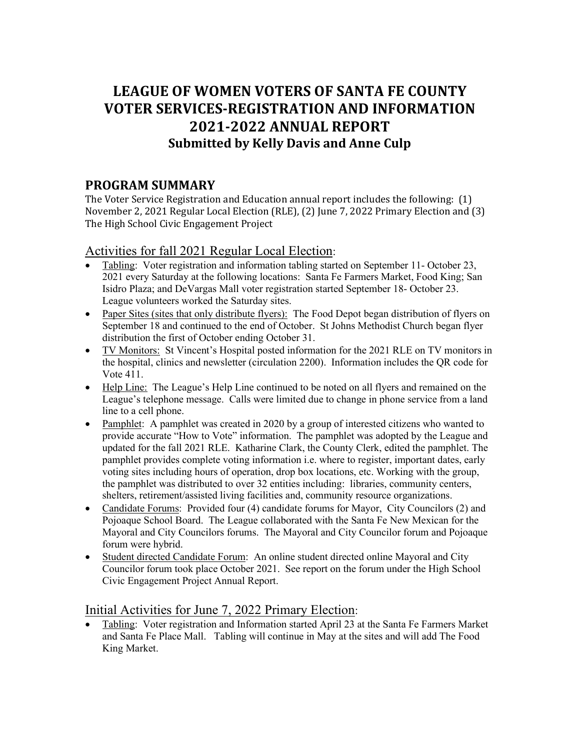# **LEAGUE OF WOMEN VOTERS OF SANTA FE COUNTY VOTER SERVICES-REGISTRATION AND INFORMATION 2021-2022 ANNUAL REPORT Submitted by Kelly Davis and Anne Culp**

## **PROGRAM SUMMARY**

The Voter Service Registration and Education annual report includes the following: (1) November 2, 2021 Regular Local Election (RLE), (2) June 7, 2022 Primary Election and (3) The High School Civic Engagement Project

### Activities for fall 2021 Regular Local Election:

- Tabling: Voter registration and information tabling started on September 11- October 23, 2021 every Saturday at the following locations: Santa Fe Farmers Market, Food King; San Isidro Plaza; and DeVargas Mall voter registration started September 18- October 23. League volunteers worked the Saturday sites.
- Paper Sites (sites that only distribute flyers): The Food Depot began distribution of flyers on September 18 and continued to the end of October. St Johns Methodist Church began flyer distribution the first of October ending October 31.
- TV Monitors: St Vincent's Hospital posted information for the 2021 RLE on TV monitors in the hospital, clinics and newsletter (circulation 2200). Information includes the QR code for Vote 411.
- Help Line: The League's Help Line continued to be noted on all flyers and remained on the League's telephone message. Calls were limited due to change in phone service from a land line to a cell phone.
- Pamphlet: A pamphlet was created in 2020 by a group of interested citizens who wanted to provide accurate "How to Vote" information. The pamphlet was adopted by the League and updated for the fall 2021 RLE. Katharine Clark, the County Clerk, edited the pamphlet. The pamphlet provides complete voting information i.e. where to register, important dates, early voting sites including hours of operation, drop box locations, etc. Working with the group, the pamphlet was distributed to over 32 entities including: libraries, community centers, shelters, retirement/assisted living facilities and, community resource organizations.
- Candidate Forums: Provided four (4) candidate forums for Mayor, City Councilors (2) and Pojoaque School Board. The League collaborated with the Santa Fe New Mexican for the Mayoral and City Councilors forums. The Mayoral and City Councilor forum and Pojoaque forum were hybrid.
- Student directed Candidate Forum: An online student directed online Mayoral and City Councilor forum took place October 2021. See report on the forum under the High School Civic Engagement Project Annual Report.

#### Initial Activities for June 7, 2022 Primary Election:

• Tabling: Voter registration and Information started April 23 at the Santa Fe Farmers Market and Santa Fe Place Mall. Tabling will continue in May at the sites and will add The Food King Market.